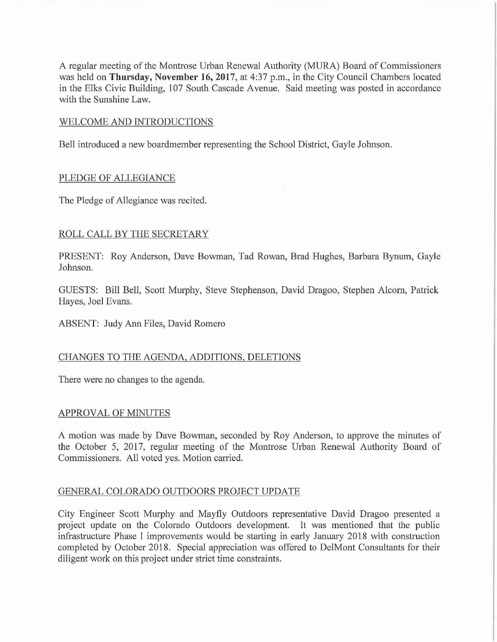A regular meeting of the Montrose Urban Renewal Authority (MURA) Board of Commissioners was held on **Thursday, November 16, 2017**, at 4:37 p.m., in the City Council Chambers located in the Elks Civic Building, 107 South Cascade A venue. Said meeting was posted in accordance with the Sunshine Law.

#### WELCOME AND INTRODUCTIONS

Bell introduced a new boardmember representing the School District, Gayle Johnson.

## PLEDGE OF ALLEGIANCE

The Pledge of Allegiance was recited.

## ROLL CALL BY THE SECRETARY

PRESENT: Roy Anderson, Dave Bowman, Tad Rowan, Brad Hughes, Barbara Bynum, Gayle Johnson.

GUESTS: Bill Bell, Scott Murphy, Steve Stephenson, David Dragoo, Stephen Alcorn, Patrick Hayes, Joel Evans.

ABSENT: Judy Ann Files, David Romero

#### CHANGES TO THE AGENDA, ADDITIONS, DELETIONS

There were no changes to the agenda.

#### APPROVAL OF MINUTES

A motion was made by Dave Bowman, seconded by Roy Anderson, to approve the minutes of the October 5, 2017, regular meeting of the Montrose Urban Renewal Authority Board of Commissioners. All voted yes. Motion carried.

# GENERAL COLORADO OUTDOORS PROJECT UPDATE

City Engineer Scott Murphy and Mayfly Outdoors representative David Dragoo presented a project update on the Colorado Outdoors development. It was mentioned that the public infrastructure Phase I improvements would be starting in early January 2018 with construction completed by October 2018. Special appreciation was offered to DelMont Consultants for their diligent work on this project under strict time constraints.